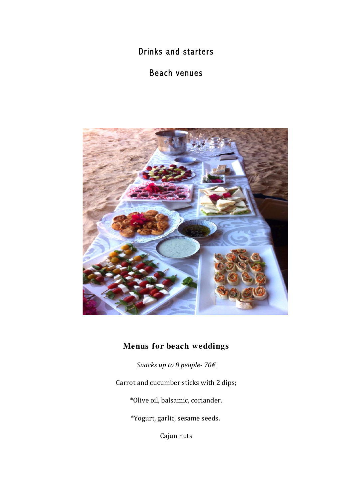Drinks and starters

# Beach venues



# **Menus for beach weddings**

*Snacks up to 8 people- 70€*

Carrot and cucumber sticks with 2 dips;

\*Olive oil, balsamic, coriander.

\*Yogurt, garlic, sesame seeds.

Cajun nuts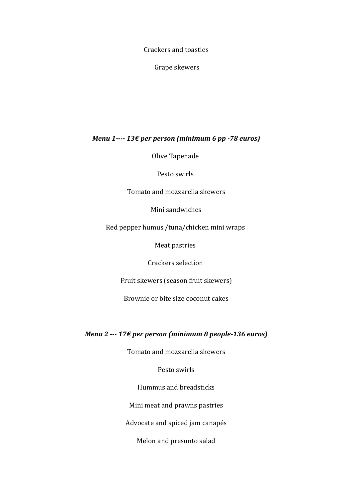Crackers and toasties

Grape skewers

#### *Menu* 1---- 13€ *per person* (minimum 6 *pp* -78 *euros*)

Olive Tapenade

Pesto swirls

Tomato and mozzarella skewers

Mini sandwiches

Red pepper humus /tuna/chicken mini wraps

Meat pastries

Crackers selection 

Fruit skewers (season fruit skewers)

Brownie or bite size coconut cakes

#### *Menu 2* --- 17€ per person (minimum 8 people-136 euros)

Tomato and mozzarella skewers

Pesto swirls

Hummus and breadsticks

Mini meat and prawns pastries

Advocate and spiced jam canapés

Melon and presunto salad